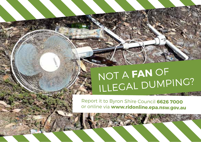## NOT A **FAN** OF ILLEGAL DUMPING?

Report it to Byron Shire Council **6626 7000** or online via **www.ridonline.epa.nsw.gov.au**